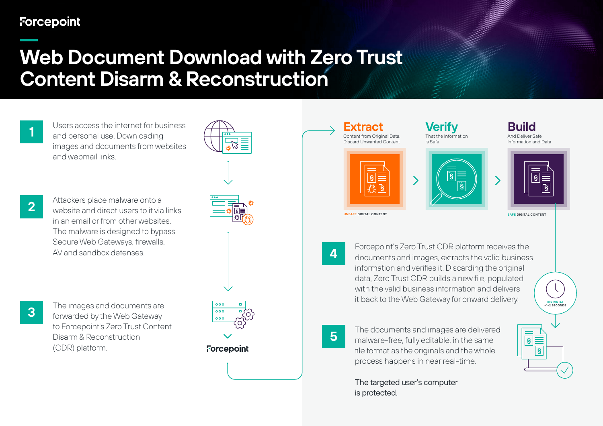## **Forcepoint**

## **Web Document Download with Zero Trust Content Disarm & Reconstruction**

**1** Users access the internet for business<br>**1** and personal use. Downloading images and documents from websites and webmail links.

**2** Attackers place malware onto a<br>**2** Website and direct users to it via links in an email or from other websites. The malware is designed to bypass Secure Web Gateways, firewalls, AV and sandbox defenses.

**3** The images and documents are<br>**3** forwarded by the Web Gateway to Forcepoint's Zero Trust Content Disarm & Reconstruction (CDR) platform.





**4** Forcepoint's Zero Trust CDR platform receives the documents and images, extracts the valid business information and verifies it. Discarding the original data, Zero Trust CDR builds a new file, populated with the valid business information and delivers it back to the Web Gateway for onward delivery.

**INSTANTLY ~1–2 SECONDS**

匾 s<br>I

 $\sqrt{S}$ 



**5** The documents and images are delivered<br>**5** Imalware-free, fully editable, in the same file format as the originals and the whole process happens in near real-time.

> The targeted user's computer is protected.